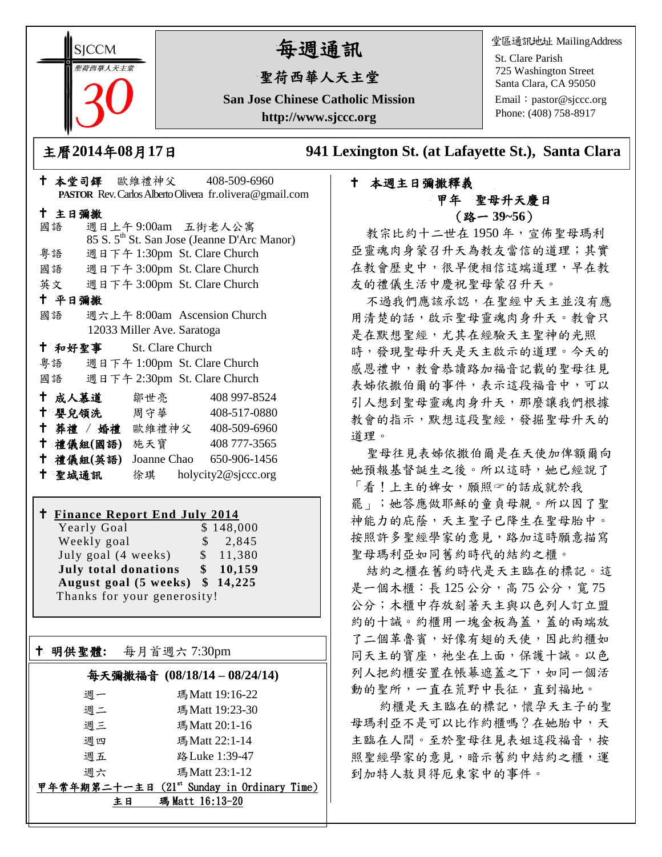**SICCM** 曾荷西華人天主名

# 每週通訊

## 聖荷西華人天主堂

**San Jose Chinese Catholic Mission http://www.sjccc.org**

堂區通訊地址 MailingAddress

St. Clare Parish 725 Washington Street Santa Clara, CA 95050

Email: [pastor@sjccc.org](mailto:pastor@sjccc.org) Phone: (408) 758-8917

主曆**2014**年**08**月**17**日 **941 Lexington St. (at Lafayette St.), Santa Clara** 

#### 本堂司鐸 歐維禮神父 408-509-6960 **PASTOR** Rev. Carlos Alberto Olivera fr.olivera@gmail.com 主日彌撒 國語 週日上午 9:00am 五街老人公寓 85 S. 5th St. San Jose (Jeanne D'Arc Manor) 粵語 週日下午 1:30pm St. Clare Church 國語 週日下午 3:00pm St. Clare Church 英文 週日下午 3:00pm St. Clare Church 平日彌撒 國語 週六上午 8:00am Ascension Church 12033 Miller Ave. Saratoga 和好聖事 St. Clare Church 粵語 週日下午 1:00pm St. Clare Church 國語 週日下午 2:30pm St. Clare Church 十成人慕道 鄒世亮 408 997-8524 十 嬰兒領洗 周守華 408-517-0880 葬禮 / 婚禮 歐維禮神父 408-509-6960 禮儀組**(**國語**)** 施天寶 408 777-3565 禮儀組**(**英語**)** Joanne Chao 650-906-1456 聖城通訊 徐琪 holycity2@sjccc.org

#### **Finance Report End July 2014**

Yearly Goal \$148,000 Weekly goal  $\qquad$  \$ 2,845 July goal (4 weeks) \$ 11,380 **July total donations \$ 10,159 August goal (5 weeks) \$ 14,225** Thanks for your generosity!

明供聖體**:** 每月首週六 7:30pm

Ξ

## 每天彌撒福音 **(08/18/14 – 08/24/14)**

| 週一                    | 瑪 Matt 19:16-22                            |
|-----------------------|--------------------------------------------|
| 週二                    | 瑪Matt 19:23-30                             |
| 週三                    | 瑪 Matt 20:1-16                             |
| 週四                    | 瑪Matt 22:1-14                              |
| 週五                    | 路 Luke 1:39-47                             |
| 週六                    | 瑪Matt 23:1-12                              |
|                       | 甲年常年期第二十一主日 (21st Sunday in Ordinary Time) |
| 瑪 Matt 16:13-20<br>主日 |                                            |

### 本週主日彌撒釋義 甲年 聖母升天慶日 (路一 **39~56**)

教宗比約十二世在 1950 年,宣佈聖母瑪利 亞靈魂肉身蒙召升天為教友當信的道理;其實 在教會歷史中,很早便相信這端道理,早在教 友的禮儀生活中慶祝聖母蒙召升天。

不過我們應該承認,在聖經中天主並沒有應 用清楚的話,啟示聖母靈魂肉身升天。教會只 是在默想聖經,尤其在經驗天主聖神的光照 時,發現聖母升天是天主啟示的道理。今天的 感恩禮中,教會恭讀路加福音記載的聖母往見 表姊依撒伯爾的事件,表示這段福音中,可以 引人想到聖母靈魂肉身升天,那麼讓我們根據 教會的指示,默想這段聖經,發掘聖母升天的 道理。

聖母往見表姊依撒伯爾是在天使加俾額爾向 她預報基督誕生之後。所以這時,她已經說了 「看!上主的婢女,願照的話成就於我 罷」;她答應做耶穌的童貞母親。所以因了聖 神能力的庇蔭,天主聖子已降生在聖母胎中。 按照許多聖經學家的意見,路加這時願意描寫 聖母瑪利亞如同舊約時代的結約之櫃。

結約之櫃在舊約時代是天主臨在的標記。這 是一個木櫃: 長 125 公分, 高 75 公分, 寬 75 公分;木櫃中存放刻著天主與以色列人訂立盟 約的十誡。約櫃用一塊金板為蓋,蓋的兩端放 了二個革魯賓,好像有翅的天使,因此約櫃如 同天主的寶座,祂坐在上面,保護十誡。以色 列人把約櫃安置在帳幕遮蓋之下,如同一個活 動的聖所,一直在荒野中長征,直到福地。

約櫃是天主臨在的標記,懷孕天主子的聖 母瑪利亞不是可以比作約櫃嗎?在她胎中,天 主臨在人間。至於聖母往見表姐這段福音,按 照聖經學家的意見,暗示舊約中結約之櫃,運 到加特人敖貝得厄東家中的事件。